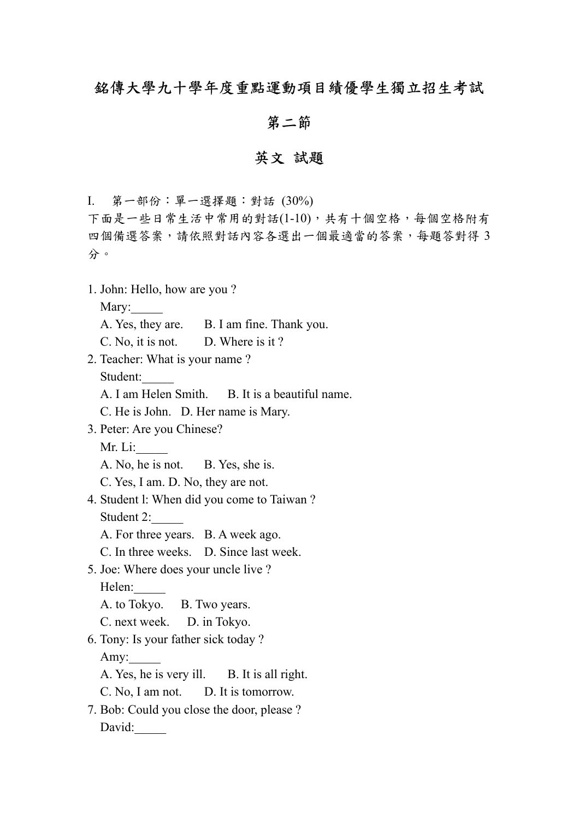## 銘傳大學九十學年度重點運動項目績優學生獨立招生考試

## 第二節

## 英文 試題

I. 第一部份:單一選擇題:對話 (30%)

下面是一些日常生活中常用的對話(1-10),共有十個空格,每個空格附有 四個備選答案,請依照對話內容各選出一個最適當的答案,每題答對得 3 分。

1. John: Hello, how are you ?

Mary:

- A. Yes, they are. B. I am fine. Thank you.
- C. No, it is not. D. Where is it ?
- 2. Teacher: What is your name ? Student:
	- A. I am Helen Smith. B. It is a beautiful name.
	- C. He is John. D. Her name is Mary.
- 3. Peter: Are you Chinese?
	- Mr. Li:\_\_\_\_\_
	- A. No, he is not. B. Yes, she is.
	- C. Yes, I am. D. No, they are not.
- 4. Student l: When did you come to Taiwan ? Student 2:
	- A. For three years. B. A week ago.
	- C. In three weeks. D. Since last week.
- 5. Joe: Where does your uncle live ? Helen:

A. to Tokyo. B. Two years.

C. next week. D. in Tokyo.

6. Tony: Is your father sick today ?

Amy:

A. Yes, he is very ill. B. It is all right.

C. No, I am not. D. It is tomorrow.

7. Bob: Could you close the door, please ? David: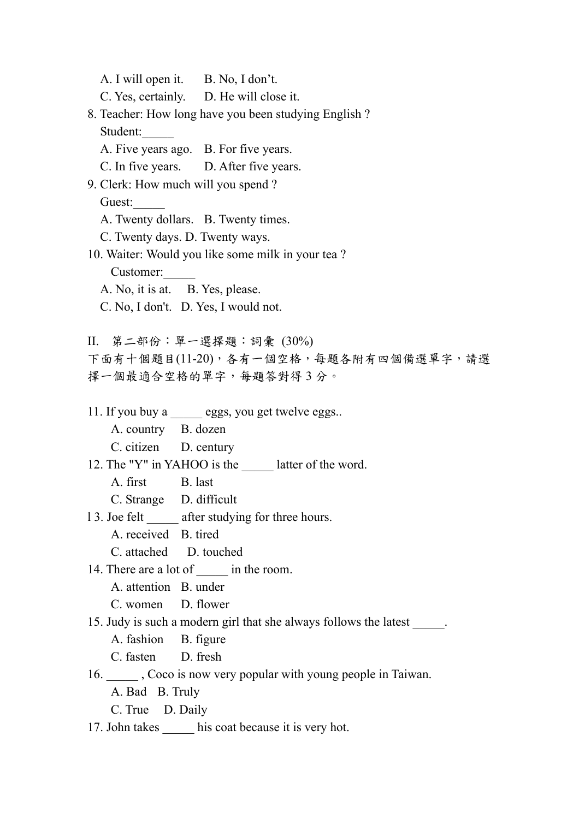A. I will open it. B. No, I don't. C. Yes, certainly. D. He will close it. 8. Teacher: How long have you been studying English ? Student: A. Five years ago. B. For five years. C. In five years. D. After five years. 9. Clerk: How much will you spend ? Guest: A. Twenty dollars. B. Twenty times. C. Twenty days. D. Twenty ways. 10. Waiter: Would you like some milk in your tea ? Customer:\_\_\_\_\_ A. No, it is at. B. Yes, please. C. No, I don't. D. Yes, I would not. II. 第二部份:單一選擇題:詞彙 (30%) 下面有十個題目(11-20),各有一個空格,每題各附有四個備選單字,請選 擇一個最適合空格的單字,每題答對得 3 分。 11. If you buy a eggs, you get twelve eggs.. A. country B. dozen C. citizen D. century 12. The "Y" in YAHOO is the latter of the word. A. first B. last C. Strange D. difficult 13. Joe felt after studying for three hours. A. received B. tired C. attached D. touched 14. There are a lot of  $\qquad$  in the room. A. attention B. under C. women D. flower 15. Judy is such a modern girl that she always follows the latest \_\_\_\_\_. A. fashion B. figure C. fasten D. fresh 16. \_\_\_\_\_ , Coco is now very popular with young people in Taiwan. A. Bad B. Truly C. True D. Daily 17. John takes his coat because it is very hot.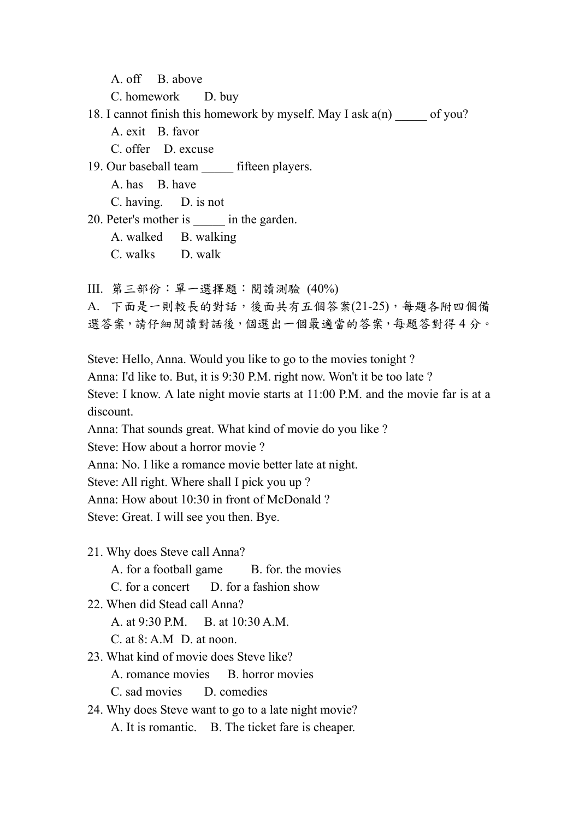A. off B. above

C. homework D. buy

18. I cannot finish this homework by myself. May I ask a(n) of you? A. exit B. favor C. offer D. excuse

19. Our baseball team fifteen players.

A. has B. have

C. having. D. is not

20. Peter's mother is  $\qquad$  in the garden.

A. walked B. walking

C. walks D. walk

III. 第三部份:單一選擇題:閱讀測驗 (40%)

A. 下面是一則較長的對話,後面共有五個答案(21-25),每題各附四個備 選答案,請仔細閱讀對話後,個選出一個最適當的答案,每題答對得4分。

Steve: Hello, Anna. Would you like to go to the movies tonight ?

Anna: I'd like to. But, it is 9:30 P.M. right now. Won't it be too late ?

Steve: I know. A late night movie starts at 11:00 P.M. and the movie far is at a discount.

Anna: That sounds great. What kind of movie do you like ?

Steve: How about a horror movie ?

Anna: No. I like a romance movie better late at night.

Steve: All right. Where shall I pick you up ?

Anna: How about 10:30 in front of McDonald ?

Steve: Great. I will see you then. Bye.

21. Why does Steve call Anna?

A. for a football game B. for. the movies

 $C$  for a concert  $D$  for a fashion show

22. When did Stead call Anna?

A. at 9:30 P.M. B. at 10:30 A.M.

C. at 8: A.M D. at noon.

23. What kind of movie does Steve like? A. romance movies B. horror movies

C. sad movies D. comedies

24. Why does Steve want to go to a late night movie? A. It is romantic. B. The ticket fare is cheaper.